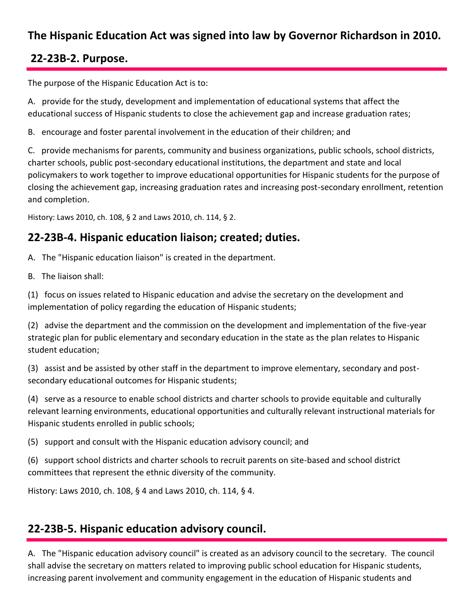# **The Hispanic Education Act was signed into law by Governor Richardson in 2010.**

## **22-23B-2. Purpose.**

The purpose of the Hispanic Education Act is to:

A. provide for the study, development and implementation of educational systems that affect the educational success of Hispanic students to close the achievement gap and increase graduation rates;

B. encourage and foster parental involvement in the education of their children; and

C. provide mechanisms for parents, community and business organizations, public schools, school districts, charter schools, public post-secondary educational institutions, the department and state and local policymakers to work together to improve educational opportunities for Hispanic students for the purpose of closing the achievement gap, increasing graduation rates and increasing post-secondary enrollment, retention and completion.

History: Laws 2010, ch. 108, § 2 and Laws 2010, ch. 114, § 2.

## **22-23B-4. Hispanic education liaison; created; duties.**

A. The "Hispanic education liaison" is created in the department.

B. The liaison shall:

(1) focus on issues related to Hispanic education and advise the secretary on the development and implementation of policy regarding the education of Hispanic students;

(2) advise the department and the commission on the development and implementation of the five-year strategic plan for public elementary and secondary education in the state as the plan relates to Hispanic student education;

(3) assist and be assisted by other staff in the department to improve elementary, secondary and postsecondary educational outcomes for Hispanic students;

(4) serve as a resource to enable school districts and charter schools to provide equitable and culturally relevant learning environments, educational opportunities and culturally relevant instructional materials for Hispanic students enrolled in public schools;

(5) support and consult with the Hispanic education advisory council; and

(6) support school districts and charter schools to recruit parents on site-based and school district committees that represent the ethnic diversity of the community.

History: Laws 2010, ch. 108, § 4 and Laws 2010, ch. 114, § 4.

### **22-23B-5. Hispanic education advisory council.**

A. The "Hispanic education advisory council" is created as an advisory council to the secretary. The council shall advise the secretary on matters related to improving public school education for Hispanic students, increasing parent involvement and community engagement in the education of Hispanic students and